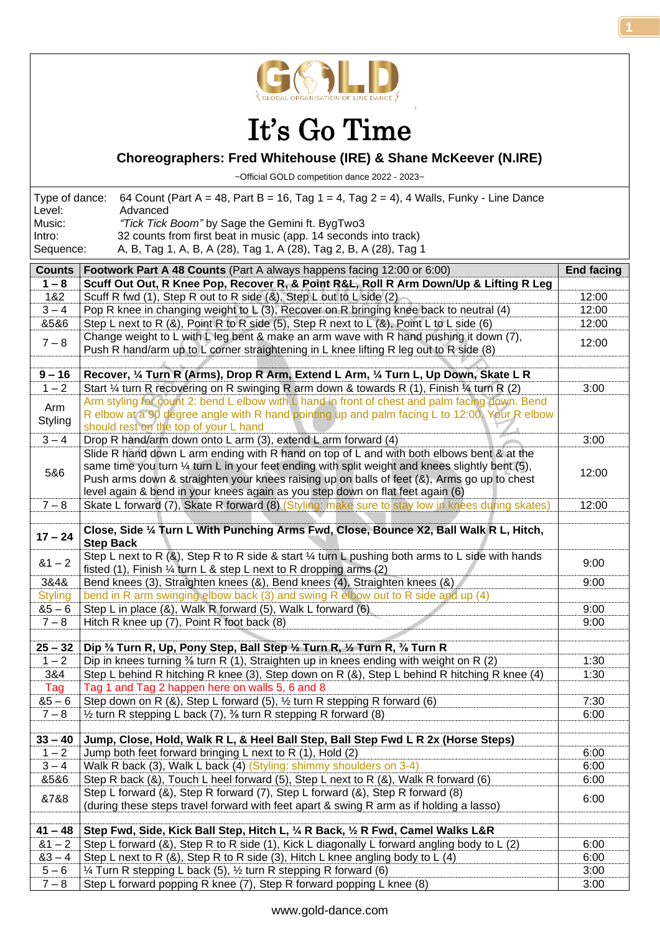

## It's Go Time

## **Choreographers: Fred Whitehouse (IRE) & Shane McKeever (N.IRE)**

~Official GOLD competition dance 2022 - 2023~

| Level:              | Type of dance: 64 Count (Part A = 48, Part B = 16, Tag 1 = 4, Tag 2 = 4), 4 Walls, Funky - Line Dance<br>Advanced                    |
|---------------------|--------------------------------------------------------------------------------------------------------------------------------------|
| Music:              | "Tick Tick Boom" by Sage the Gemini ft. BygTwo3                                                                                      |
| Intro:<br>Sequence: | 32 counts from first beat in music (app. 14 seconds into track)<br>A, B, Tag 1, A, B, A (28), Tag 1, A (28), Tag 2, B, A (28), Tag 1 |
|                     |                                                                                                                                      |

| <b>Counts</b>  | Footwork Part A 48 Counts (Part A always happens facing 12:00 or 6:00)                                        | <b>End facing</b> |
|----------------|---------------------------------------------------------------------------------------------------------------|-------------------|
| $1 - 8$        | Scuff Out Out, R Knee Pop, Recover R, & Point R&L, Roll R Arm Down/Up & Lifting R Leg                         |                   |
| 1&2            | Scuff R fwd (1), Step R out to R side (&), Step L out to L side (2)                                           | 12:00             |
| $3 - 4$        | Pop R knee in changing weight to L (3), Recover on R bringing knee back to neutral (4)                        | 12:00             |
| 8586           | Step L next to R (&), Point R to R side (5), Step R next to L (&), Point L to L side (6)                      | 12:00             |
|                | Change weight to L with L leg bent & make an arm wave with R hand pushing it down $(7)$ ,                     |                   |
| $7 - 8$        | Push R hand/arm up to L corner straightening in L knee lifting R leg out to R side (8)                        | 12:00             |
|                |                                                                                                               |                   |
| $9 - 16$       | Recover, 1/4 Turn R (Arms), Drop R Arm, Extend L Arm, 1/4 Turn L, Up Down, Skate L R                          |                   |
| $1 - 2$        | Start 1/4 turn R recovering on R swinging R arm down & towards R (1), Finish 1/4 turn R (2)                   | 3:00              |
|                | Arm styling for count 2: bend L elbow with L hand in front of chest and palm facing down. Bend                |                   |
| Arm            | R elbow at a 90 degree angle with R hand pointing up and palm facing L to 12:00. Your R elbow                 |                   |
| Styling        | should rest on the top of your L hand                                                                         |                   |
| $3 - 4$        | Drop R hand/arm down onto L arm (3), extend L arm forward (4)                                                 | 3:00              |
|                | Slide R hand down L arm ending with R hand on top of L and with both elbows bent & at the                     |                   |
|                | same time you turn $\frac{1}{4}$ turn L in your feet ending with split weight and knees slightly bent (5),    |                   |
| 5&6            | Push arms down & straighten your knees raising up on balls of feet (&), Arms go up to chest                   | 12:00             |
|                |                                                                                                               |                   |
|                | level again & bend in your knees again as you step down on flat feet again (6)                                |                   |
| $7 - 8$        | Skate L forward (7), Skate R forward (8) (Styling: make sure to stay low in knees during skates)              | 12:00             |
|                |                                                                                                               |                   |
| $17 - 24$      | Close, Side 1/4 Turn L With Punching Arms Fwd, Close, Bounce X2, Ball Walk R L, Hitch,                        |                   |
|                | <b>Step Back</b>                                                                                              |                   |
| $81 - 2$       | Step L next to R $(8)$ , Step R to R side & start $\frac{1}{4}$ turn L pushing both arms to L side with hands | 9:00              |
|                | fisted (1), Finish $\frac{1}{4}$ turn L & step L next to R dropping arms (2)                                  |                   |
| 3&4&           | Bend knees (3), Straighten knees (&), Bend knees (4), Straighten knees (&)                                    | 9:00              |
| <b>Styling</b> | bend in R arm swinging elbow back (3) and swing R elbow out to R side and up (4)                              |                   |
| $85 - 6$       | Step L in place (&), Walk R forward (5), Walk L forward (6)                                                   | 9:00              |
| $7 - 8$        | Hitch R knee up (7), Point R foot back (8)                                                                    | 9:00              |
|                |                                                                                                               |                   |
| $25 - 32$      | Dip % Turn R, Up, Pony Step, Ball Step 1/2 Turn R, 1/2 Turn R, 3/6 Turn R                                     |                   |
| $1 - 2$        | Dip in knees turning % turn R (1), Straighten up in knees ending with weight on R (2)                         | 1:30              |
| 3&4            | Step L behind R hitching R knee (3), Step down on R (&), Step L behind R hitching R knee (4)                  | 1:30              |
| Tag            | Tag 1 and Tag 2 happen here on walls 5, 6 and 8                                                               |                   |
| $85 - 6$       | Step down on R (&), Step L forward (5), 1/2 turn R stepping R forward (6)                                     | 7:30              |
| $7 - 8$        | $\frac{1}{2}$ turn R stepping L back (7), $\frac{3}{2}$ turn R stepping R forward (8)                         | 6:00              |
|                |                                                                                                               |                   |
| $33 - 40$      | Jump, Close, Hold, Walk R L, & Heel Ball Step, Ball Step Fwd L R 2x (Horse Steps)                             |                   |
| $1 - 2$        | Jump both feet forward bringing L next to R (1), Hold (2)                                                     | 6:00              |
| $3 - 4$        | Walk R back (3), Walk L back (4) (Styling: shimmy shoulders on 3-4)                                           | 6:00              |
| 8586           | Step R back (&), Touch L heel forward (5), Step L next to R (&), Walk R forward (6)                           | 6:00              |
|                | Step L forward (&), Step R forward (7), Step L forward (&), Step R forward (8)                                |                   |
| &7&8           | (during these steps travel forward with feet apart & swing R arm as if holding a lasso)                       | 6:00              |
|                |                                                                                                               |                   |
| $41 - 48$      | Step Fwd, Side, Kick Ball Step, Hitch L, 1/4 R Back, 1/2 R Fwd, Camel Walks L&R                               |                   |
| $81 - 2$       | Step L forward (&), Step R to R side (1), Kick L diagonally L forward angling body to L (2)                   | 6:00              |
| $83 - 4$       | Step L next to R $(8)$ , Step R to R side $(3)$ , Hitch L knee angling body to L $(4)$                        | 6:00              |
| $5 - 6$        | 1⁄4 Turn R stepping L back (5), 1⁄2 turn R stepping R forward (6)                                             | 3:00              |
| $7 - 8$        | Step L forward popping R knee (7), Step R forward popping L knee (8)                                          | 3:00              |